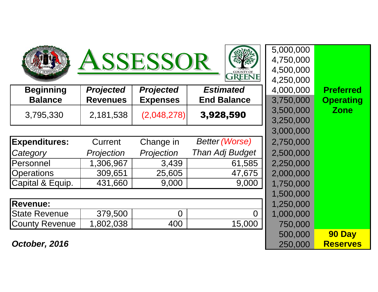





5,000,000

500,000

| <b>Beginning</b>     | <b>Projected</b> | <b>Projected</b> | <b>Estimated</b>       | 4,000,000 | <b>Preferred</b> |
|----------------------|------------------|------------------|------------------------|-----------|------------------|
| <b>Balance</b>       | <b>Revenues</b>  | <b>Expenses</b>  | <b>End Balance</b>     | 3,750,000 | <b>Operating</b> |
| 3,795,330            | 2,181,538        | (2,048,278)      | 3,928,590              | 3,500,000 | <b>Zone</b>      |
|                      |                  |                  |                        | 3,250,000 |                  |
|                      |                  |                  |                        | 3,000,000 |                  |
| <b>Expenditures:</b> | Current          | Change in        | <b>Better (Worse)</b>  | 2,750,000 |                  |
| Category             | Projection       | Projection       | <b>Than Adj Budget</b> | 2,500,000 |                  |
| Personnel            | 1,306,967        | 3,439            | 61,585                 | 2,250,000 |                  |
| <b>Operations</b>    | 309,651          | 25,605           | 47,675                 | 2,000,000 |                  |
| Capital & Equip.     | 431,660          | 9,000            | 9,000                  | 1,750,000 |                  |
|                      |                  |                  |                        | 1,500,000 |                  |
| <b>Revenue:</b>      |                  |                  |                        | 1,250,000 |                  |
| <b>State Revenue</b> | 379,500          | $\overline{0}$   | $\Omega$               | 1,000,000 |                  |
| County Revenue       | 1,802,038        | 400              | 15,000                 | 750,000   |                  |
|                      |                  |                  |                        |           |                  |

**October, 2016**6  $250,000$ 

 4,750,000 4,500,000 4,250,0004,000,000 **Operating Revenues Expenses End Balance** 3,750,0003,500,000 **Zone** 3,250,000 3,000,000 1,500,000750,000

 **90 Day Reserves**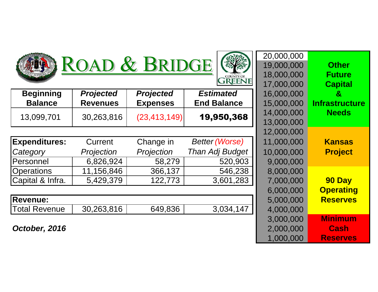





|                      |                  |                  |                        | 17, UUU, UUU                                         | <u>vup</u>          |
|----------------------|------------------|------------------|------------------------|------------------------------------------------------|---------------------|
| <b>Beginning</b>     | <b>Projected</b> | <b>Projected</b> | <b>Estimated</b>       | 16,000,000                                           | $\mathbf{g}$        |
| <b>Balance</b>       | <b>Revenues</b>  | <b>Expenses</b>  | <b>End Balance</b>     | 15,000,000                                           | Infrastr            |
| 13,099,701           | 30,263,816       | (23, 413, 149)   | 19,950,368             | 14,000,000                                           | <b>Nee</b>          |
|                      |                  |                  |                        | 13,000,000                                           |                     |
|                      |                  |                  |                        | 12,000,000                                           |                     |
| <b>Expenditures:</b> | Current          | Change in        | <b>Better (Worse)</b>  | 11,000,000                                           | <b>Kans</b>         |
| Category             | Projection       | Projection       | <b>Than Adj Budget</b> | 10,000,000                                           | Proj                |
| Personnel            | 6,826,924        | 58,279           | 520,903                | 9,000,000                                            |                     |
| <b>Operations</b>    | 11,156,846       | 366,137          | 546,238                | 8,000,000                                            |                     |
| Capital & Infra.     | 5,429,379        | 122,773          | 3,601,283              | 7,000,000                                            | <b>90 D</b>         |
|                      |                  |                  |                        | $\Omega$ , $\Omega$ , $\Omega$ , $\Omega$ , $\Omega$ | $\bigcap_{n\leq n}$ |

| <b>Revenue:</b>      |            |         |                | 5,000,000 |
|----------------------|------------|---------|----------------|-----------|
| <b>Total Revenue</b> | 30,263,816 | 649,836 | . 147<br>3,034 | 000,000   |
|                      |            |         |                |           |

**October, 2016**

|                |                  |                  |                        | 20,000,000 |                       |
|----------------|------------------|------------------|------------------------|------------|-----------------------|
|                |                  | ROAD & BRIDGE    |                        | 19,000,000 | <b>Other</b>          |
|                |                  |                  | <b>COUNTY OF</b>       | 18,000,000 | <b>Future</b>         |
|                |                  |                  | <b>GREENE</b>          | 17,000,000 | <b>Capital</b>        |
|                | <b>Projected</b> | <b>Projected</b> | <b>Estimated</b>       | 16,000,000 | &                     |
|                | <b>Revenues</b>  | <b>Expenses</b>  | <b>End Balance</b>     | 15,000,000 | <b>Infrastructure</b> |
|                | 30,263,816       | (23, 413, 149)   | 19,950,368             | 14,000,000 | <b>Needs</b>          |
|                |                  |                  |                        | 13,000,000 |                       |
|                |                  |                  |                        | 12,000,000 |                       |
| $\mathbf{S}$ : | Current          | Change in        | <b>Better (Worse)</b>  | 11,000,000 | <b>Kansas</b>         |
|                | Projection       | Projection       | Than Adj Budget        | 10,000,000 | <b>Project</b>        |
|                | 6,826,924        | 58,279           | 520,903                | 9,000,000  |                       |
|                | 11,156,846       | 366,137          | 546,238                | 8,000,000  |                       |
|                | 5,429,379        | 122,773          | 3,601,283              | 7,000,000  | 90 Day                |
|                |                  |                  |                        | 6,000,000  | <b>Operating</b>      |
|                |                  |                  |                        | 5,000,000  | <b>Reserves</b>       |
| e              | 30,263,816       | 649,836          | $\overline{3,034,147}$ | 4,000,000  |                       |
|                |                  |                  |                        | 3,000,000  | <b>Minimum</b>        |
| 6              |                  |                  |                        | 2,000,000  | <b>Cash</b>           |
|                |                  |                  |                        | 1,000,000  | <b>Reserves</b>       |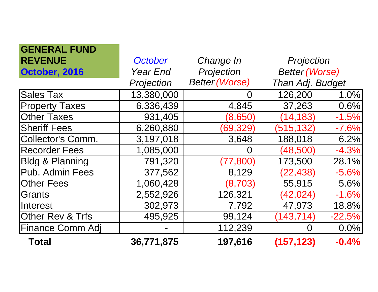| <b>GENERAL FUND</b>         |                 |                       |                       |          |
|-----------------------------|-----------------|-----------------------|-----------------------|----------|
| <b>REVENUE</b>              | October         | Change In             | Projection            |          |
| October, 2016               | <b>Year End</b> | Projection            | <b>Better (Worse)</b> |          |
|                             | Projection      | <b>Better (Worse)</b> | Than Adj. Budget      |          |
| Sales Tax                   | 13,380,000      | O                     | 126,200               | 1.0%     |
| <b>Property Taxes</b>       | 6,336,439       | 4,845                 | 37,263                | 0.6%     |
| <b>Other Taxes</b>          | 931,405         | (8,650)               | (14, 183)             | $-1.5%$  |
| <b>Sheriff Fees</b>         | 6,260,880       | (69, 329)             | (515, 132)            | $-7.6%$  |
| Collector's Comm.           | 3,197,018       | 3,648                 | 188,018               | 6.2%     |
| <b>Recorder Fees</b>        | 1,085,000       | $\Omega$              | (48, 500)             | $-4.3%$  |
| <b>Bldg &amp; Planning</b>  | 791,320         | (77, 800)             | 173,500               | 28.1%    |
| Pub. Admin Fees             | 377,562         | 8,129                 | (22, 438)             | $-5.6%$  |
| <b>Other Fees</b>           | 1,060,428       | (8,703)               | 55,915                | 5.6%     |
| Grants                      | 2,552,926       | 126,321               | (42, 024)             | $-1.6%$  |
| Interest                    | 302,973         | 7,792                 | 47,973                | 18.8%    |
| <b>Other Rev &amp; Trfs</b> | 495,925         | 99,124                | (143, 714)            | $-22.5%$ |
| <b>Finance Comm Adj</b>     |                 | 112,239               | O                     | 0.0%     |
| <b>Total</b>                | 36,771,875      | 197,616               | (157, 123)            | $-0.4%$  |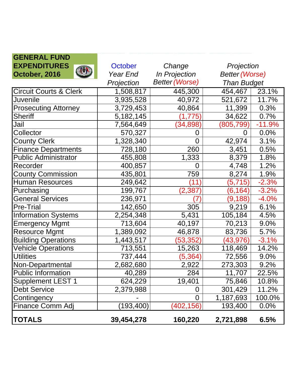| <b>GENERAL FUND</b>               |             |                       |                       |          |
|-----------------------------------|-------------|-----------------------|-----------------------|----------|
| <b>EXPENDITURES</b><br><b>QUA</b> | October     | Change                | Projection            |          |
| October, 2016                     | Year End    | <b>In Projection</b>  | <b>Better (Worse)</b> |          |
|                                   | Projection  | <b>Better (Worse)</b> | <b>Than Budget</b>    |          |
| <b>Circuit Courts &amp; Clerk</b> | 1,508,817   | 445,300               | 454,467               | 23.1%    |
| Juvenile                          | 3,935,528   | 40,972                | 521,672               | 11.7%    |
| <b>Prosecuting Attorney</b>       | 3,729,453   | 40,864                | 11,399                | 0.3%     |
| Sheriff                           | 5, 182, 145 | (1,775)               | 34,622                | 0.7%     |
| Jail                              | 7,564,649   | (34, 898)             | (805,799)             | $-11.9%$ |
| Collector                         | 570,327     | 0                     | 0                     | 0.0%     |
| <b>County Clerk</b>               | 1,328,340   | $\overline{0}$        | 42,974                | 3.1%     |
| <b>Finance Departments</b>        | 728,180     | 260                   | 3,451                 | 0.5%     |
| <b>Public Administrator</b>       | 455,808     | 1,333                 | 8,379                 | 1.8%     |
| Recorder                          | 400,857     | $\overline{0}$        | 4,748                 | 1.2%     |
| <b>County Commission</b>          | 435,801     | 759                   | 8,274                 | 1.9%     |
| Human Resources                   | 249,642     | (11)                  | (5, 715)              | $-2.3%$  |
| Purchasing                        | 199,767     | (2,387)               | (6, 164)              | $-3.2%$  |
| <b>General Services</b>           | 236,971     |                       | (9,188)               | $-4.0%$  |
| <b>Pre-Trial</b>                  | 142,650     | 305                   | 9,219                 | 6.1%     |
| <b>Information Systems</b>        | 2,254,348   | 5,431                 | 105,184               | 4.5%     |
| <b>Emergency Mgmt</b>             | 713,604     | 40,197                | 70,213                | 9.0%     |
| <b>Resource Mgmt</b>              | 1,389,092   | 46,878                | 83,736                | 5.7%     |
| <b>Building Operations</b>        | 1,443,517   | (53, 352)             | (43, 976)             | $-3.1%$  |
| <b>Vehicle Operations</b>         | 713,551     | 15,263                | 118,469               | 14.2%    |
| <b>Utilities</b>                  | 737,444     | (5, 364)              | 72,556                | 9.0%     |
| Non-Departmental                  | 2,682,680   | 2,922                 | 273,303               | 9.2%     |
| Public Information                | 40,289      | 284                   | 11,707                | 22.5%    |
| Supplement LEST 1                 | 624,229     | 19,401                | 75,846                | 10.8%    |
| <b>Debt Service</b>               | 2,379,988   | 0                     | 301,429               | 11.2%    |
| Contingency                       |             | $\overline{0}$        | 1,187,693             | 100.0%   |
| Finance Comm Adj                  | (193, 400)  | (402, 156)            | 193,400               | 0.0%     |
| <b>TOTALS</b>                     | 39,454,278  | 160,220               | 2,721,898             | 6.5%     |